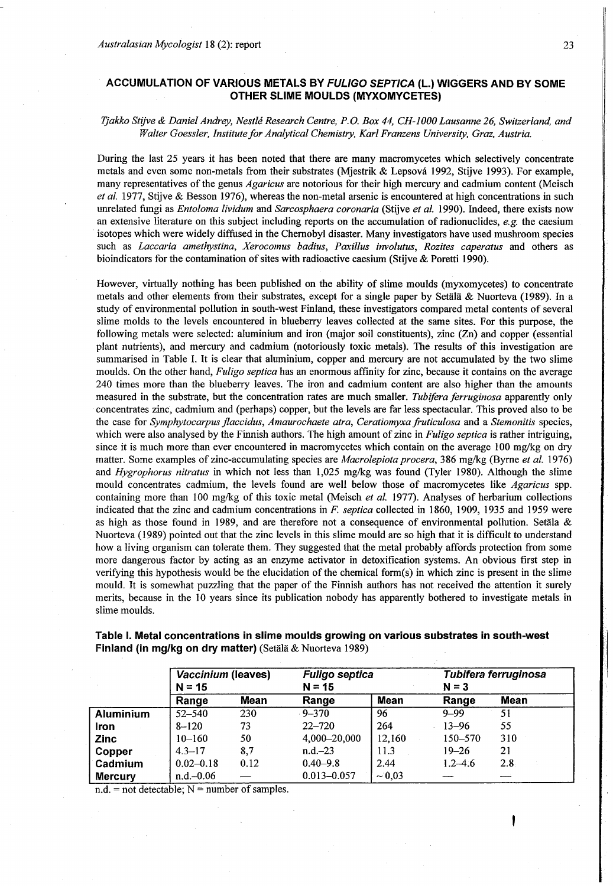# **ACCUMULATION OF VARIOUS METALS BY** *FULIGO SEPTICA* **(L.) WIGGERS AND BY SOME OTHER SLIME MOULDS (MYXOMYCETES)**

# *Tjakko Stijve & Daniel Andrey, Nestle Research Centre, P.O. Box 44, CH-1000 Lausanne 26, Switzerland, and Walter Goessler, Institute for Analytical Chemistry, Karl Franzens University, Graz, Austria.*

During the last 25 years it has been noted that there are many macromycetes which selectively concentrate metals and even some non-metals from their substrates (Mjestrik & Lepsova 1992, Stijve 1993). For example, many representatives of the genus *Agaricus* are notorious for their high mercury and cadmium content (Meisch *et al. 1977,* Stijve & Besson 1976), whereas the non-metal arsenic is encountered at high concentrations in such unrelated fungi as *Entoloma lividum* and *Sarcosphaera coronaria* (Stijve *et al.* 1990). Indeed, there exists now an extensive literature on this subject including reports on the accumulation of radionuclides, *e.g.* the caesium isotopes which were widely diffused in the Chernobyl disaster. Many investigators have used mushroom species such as *Laccaria amethystina, Xerocomus badius, Paxillus involutus, Rozites caperatus* and others as bioindicators for the contamination of sites with radioactive caesium (Stijve & Poretti 1990).

However, virtually nothing has been published on the ability of slime moulds (myxomycetes) to concentrate metals and other elements from their substrates, except for a single paper by Setälä & Nuorteva (1989). In a study of environmental pollution in south-west Finland, these investigators compared metal contents of several slime molds to the levels encountered in blueberry leaves collected at the same sites. For this purpose, the following metals were selected: aluminium and iron (major soil constituents), zinc (Zn) and copper (essential plant nutrients), and mercury and cadmium (notoriously toxic metals). The results of this investigation are summarised in Table I. It is clear that aluminium, copper and mercury are not accumulated by the two slime moulds. On the other hand, *Fuligo septica* has an enormous affinity for zinc, because it contains on the average 240 times more than the blueberry leaves. The iron and cadmium content are also higher than the amounts measured in the substrate, but the concentration rates are much smaller. *Tubifera ferruginosa* apparently only concentrates zinc, cadmium and (perhaps) copper, but the levels are far less spectacular. This proved also to be the case for *Symphytocarpus flaccidus, Amaurochaete atra, Ceratiomyxa fruticulosa* and a *Stemonitis* species, which were also analysed by the Finnish authors. The high amount of zinc in *Fuligo septica* is rather intriguing, since it is much more than ever encountered in macromycetes which contain on the average 100 mg/kg on dry matter. Some examples of zinc-accumulating species are *Macrolepiota procera,* 386 mg/kg (Byrne *et al.* 1976) and *Hygrophorus nitratus* in which not less than 1,025 mg/kg was found (Tyler 1980). Although the slime mould concentrates cadmium, the levels found are well below those of macromycetes like *Agaricus* spp. containing more than 100 mg/kg of this toxic metal (Meisch *et al.* 1977). Analyses of herbarium collections indicated that the zinc and cadmium concentrations in *F. septica* collected in 1860, 1909, 1935 and 1959 were as high as those found in 1989, and are therefore not a consequence of environmental pollution. Setala & Nuorteva (1989) pointed out that the zinc levels in this slime mould are so high that it is difficult to understand how a living organism can tolerate them. They suggested that the metal probably affords protection from some more dangerous factor by acting as an enzyme activator in detoxification systems. An obvious first step in verifying this hypothesis would be the elucidation of the chemical form(s) in which zinc is present in the slime mould. It is somewhat puzzling that the paper of the Finnish authors has not received the attention it surely merits, because in the 10 years since its publication nobody has apparently bothered to investigate metals in slime moulds.

|                  | Vaccinium (leaves)<br>$N = 15$ |      | <b>Fuligo septica</b><br>$N = 15$ |             | Tubifera ferruginosa<br>$N = 3$ |      |
|------------------|--------------------------------|------|-----------------------------------|-------------|---------------------------------|------|
|                  | Range                          | Mean | Range                             | Mean        | Range                           | Mean |
| <b>Aluminium</b> | $52 - 540$                     | 230  | $-9 - 370$                        | 96          | $9 - 99$                        | 51   |
| Iron             | $8 - 120$                      | 73   | $22 - 720$                        | 264         | $13 - 96$                       | 55   |
| <b>Zinc</b>      | $10 - 160$                     | 50   | 4,000-20,000                      | 12,160      | 150-570                         | 310  |
| Copper           | $4.3 - 17$                     | 8,7  | $n.d.-23$                         | 11.3        | $19 - 26$                       | 21   |
| Cadmium          | $0.02 - 0.18$                  | 0.12 | $0.40 - 9.8$                      | 2.44        | $1.2 - 4.6$                     | 2.8  |
| <b>Mercury</b>   | $n.d.-0.06$                    |      | $0.013 - 0.057$                   | $\sim 0.03$ |                                 |      |

**Table I. Metal concentrations in slime moulds growing on various substrates in south-west Finland (in mg/kg on dry matter)** (Setala & Nuorteva 1989)

 $n.d.$  = not detectable; N = number of samples.

23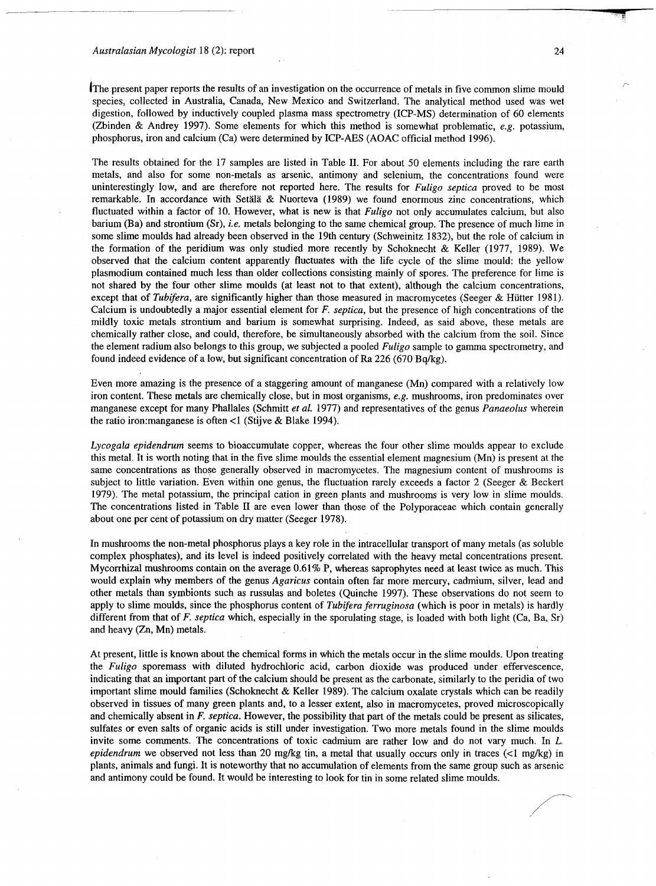#### Australasian Mycologist 18 (2): report

The present paper reports the results of an investigation on the occurrence of metals in five common slime mould species, collected in Australia, Canada, New Mexico and Switzerland. The analytical method used was wet digestion, followed by inductively coupled plasma mass spectrometry (ICP-MS) determination of 60 elements (Zbinden & Andrey 1997). Some elements for which this method is somewhat problematic, *e.g.* potassium, phosphorus, iron and calcium (Ca) were determined by ICP-AES (AOAC official method 1996).

The results obtained for the 17 samples are listed in Table II. For about 50 elements including the rare earth metals, and also for some non-metals as arsenic, antimony and selenium, the concentrations found were uninterestingly low, and are therefore not reported here. The results for *Fuligo septica* proved to be most remarkable. In accordance with Setälä & Nuorteva (1989) we found enormous zinc concentrations, which fluctuated within a factor of 10. However, what is new is that *Fuligo* not only accumulates calcium, but also barium (Ba) and strontium (Sr), *i.e.* metals belonging to the same chemical group. The presence of much lime in some slime moulds had already been observed in the 19th century (Schweinitz 1832), but the role of calcium in the formation of the peridium was only studied more recently by Schoknecht & Keller (1977, 1989). We observed that the calcium content apparently fluctuates with the life cycle of the slime mould: the yellow Plasmodium contained much less than older collections consisting mainly of spores. The preference for lime is not shared by the four other slime moulds (at least not to that extent), although the calcium concentrations, except that of *Tubifera,* are significantly higher than those measured in macromycetes (Seeger & Hiitter 1981). Calcium is undoubtedly a major essential element for *F. septica,* but the presence of high concentrations of the mildly toxic metals strontium and barium is somewhat surprising. Indeed, as said above, these metals are chemically rather close, and could, therefore, be simultaneously absorbed with the calcium from the soil. Since the element radium also belongs to this group, we subjected a pooled *Fuligo* sample to gamma spectrometry, and found indeed evidence of a low, but significant concentration of Ra 226 (670 Bq/kg).

Even more amazing is the presence of a staggering amount of manganese (Mn) compared with a relatively low iron content. These metals are chemically close, but in most organisms, *e.g.* mushrooms, iron predominates over manganese except for many Phallales (Schmitt *et al.* 1977) and representatives of the genus *Panaeolus* wherein the ratio iron:manganese is often <1 (Stijve & Blake 1994).

*Lycogala epidendrum* seems to bioaccumulate copper, whereas the four other slime moulds appear to exclude this metal. It is worth noting that in the five slime moulds the essential element magnesium (Mn) is present at the same concentrations as those generally observed in macromycetes. The magnesium content of mushrooms is subject to little variation. Even within one genus, the fluctuation rarely exceeds a factor 2 (Seeger & Beckert 1979). The metal potassium, the principal cation in green plants and mushrooms is very low in slime moulds. The concentrations listed in Table II are even lower than those of the Polyporaceae which contain generally about one per cent of potassium on dry matter (Seeger 1978).

In mushrooms the non-metal phosphorus plays a key role in the intracellular transport of many metals (as soluble complex phosphates), and its level is indeed positively correlated with the heavy metal concentrations present. Mycorrhizal mushrooms contain on the average 0.61% P, whereas saprophytes need at least twice as much. This would explain why members of the genus *Agaricus* contain often far more mercury, cadmium, silver, lead and other metals than symbionts such as russulas and boletes (Quinche 1997). These observations do not seem to apply to slime moulds, since the phosphorus content of *Tubifera ferruginosa* (which is poor in metals) is hardly different from that of *F. septica* which, especially in the sporulating stage, is loaded with both light (Ca, Ba, Sr) and heavy (Zn, Mn) metals.

At present, little is known about the chemical forms in which the metals occur in the slime moulds. Upon treating the *Fuligo* sporemass with diluted hydrochloric acid, carbon dioxide was produced under effervescence, indicating that an important part of the calcium should be present as the carbonate, similarly to the peridia of two important slime mould families (Schoknecht & Keller 1989). The calcium oxalate crystals which can be readily observed in tissues of many green plants and, to a lesser extent, also in macromycetes, proved microscopically and chemically absent in *F. septica.* However, the possibility that part of the metals could be present as silicates, sulfates or even salts of organic acids is still under investigation. Two more metals found in the slime moulds invite some comments. The concentrations of toxic cadmium are rather low and do not vary much. In *L. epidendrum* we observed not less than 20 mg/kg tin, a metal that usually occurs only in traces (<1 mg/kg) in plants, animals and fungi. It is noteworthy that no accumulation of elements from the same group such as arsenic and antimony could be found. It would be interesting to look for tin in some related slime moulds.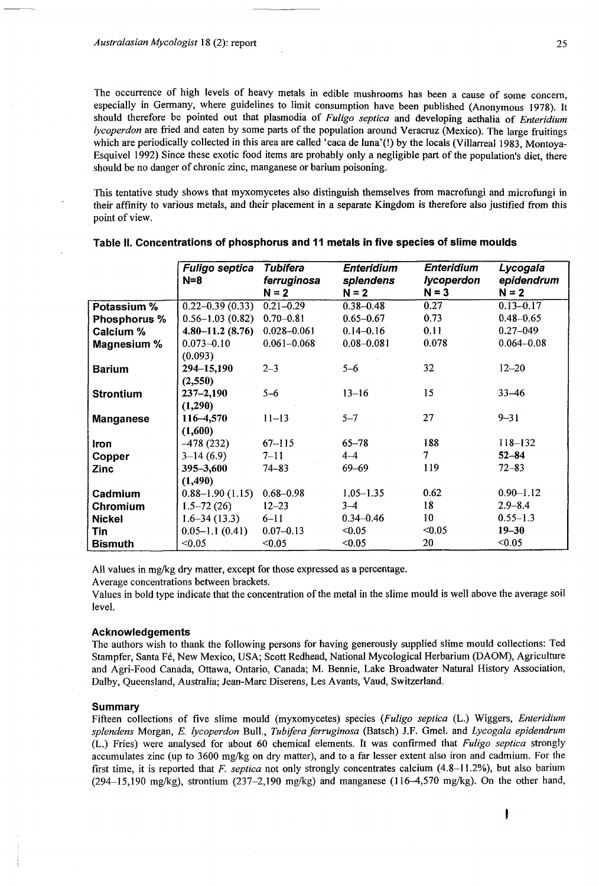The occurrence of high levels of heavy metals in edible mushrooms has been a cause of some concern, especially in Germany, where guidelines to limit consumption have been published (Anonymous 1978). It should therefore be pointed out that plasmodia of *Fuligo septica* and developing aethalia of *Enteridium lycoperdon* are fried and eaten by some parts of the population around Veracruz (Mexico). The large fruitings which are periodically collected in this area are called 'caca de luna'(!) by the locals (Villarreal 1983, Montoya-Esquivel 1992) Since these exotic food items are probably only a negligible part of the population's diet, there should be no danger of chronic zinc, manganese or barium poisoning.

This tentative study shows that myxomycetes also distinguish themselves from macrofungi and microfungi in their affinity to various metals, and their placement in a separate Kingdom is therefore also justified from this point of view.

|                  | <b>Fuligo septica</b><br>$N=8$ | <b>Tubifera</b><br>ferruginosa | <b>Enteridium</b>    | <b>Enteridium</b><br><b>Iycoperdon</b> | Lycogala<br>epidendrum |  |
|------------------|--------------------------------|--------------------------------|----------------------|----------------------------------------|------------------------|--|
|                  |                                | $N = 2$                        | splendens<br>$N = 2$ | $N = 3$                                | $N = 2$                |  |
| Potassium %      | $0.22 - 0.39(0.33)$            | $0.21 - 0.29$                  | $0.38 - 0.48$        | 0.27                                   | $0.13 - 0.17$          |  |
| Phosphorus %     | $0.56 - 1.03(0.82)$            | $0.70 - 0.81$                  | $0.65 - 0.67$        | 0.73                                   | $0.48 - 0.65$          |  |
| <b>Calcium %</b> | $4.80 - 11.2$ (8.76)           | $0.028 - 0.061$                | $0.14 - 0.16$        | 0.11                                   | $0.27 - 049$           |  |
| Magnesium %      | $0.073 - 0.10$                 | $0.061 - 0.068$                | $0.08 - 0.081$       | 0.078                                  | $0.064 - 0.08$         |  |
|                  | (0.093)                        |                                |                      |                                        |                        |  |
| <b>Barium</b>    | 294-15,190                     | $2 - 3$                        | $5 - 6$              | 32                                     | $12 - 20$              |  |
|                  | (2,550)                        |                                |                      |                                        |                        |  |
| <b>Strontium</b> | $237 - 2,190$                  | $5 - 6$                        | $13 - 16$            | 15                                     | $33 - 46$              |  |
|                  | (1,290)                        |                                |                      |                                        |                        |  |
| <b>Manganese</b> | 116-4,570                      | $11 - 13$                      | $5 - 7$              | 27                                     | $9 - 31$               |  |
|                  | (1,600)                        |                                |                      |                                        |                        |  |
| <b>Iron</b>      | $-478(232)$                    | $67 - 115$                     | $65 - 78$            | 188                                    | $118 - 132$            |  |
| Copper           | $3-14(6.9)$                    | $7 - 11$                       | $4 - 4$              | 7                                      | $52 - 84$              |  |
| Zinc             | $395 - 3,600$                  | $74 - 83$                      | 69–69                | 119                                    | $72 - 83$              |  |
|                  | (1, 490)                       |                                |                      |                                        |                        |  |
| Cadmium          | $0.88 - 1.90(1.15)$            | $0.68 - 0.98$                  | $1.05 - 1.35$        | 0.62                                   | $0.90 - 1.12$          |  |
| Chromium         | $1.5 - 72(26)$                 | $12 - 23$                      | $3 - 4$              | 18                                     | $2.9 - 8.4$            |  |
| <b>Nickel</b>    | $1.6 - 34(13.3)$               | $6 - 11$                       | $0.34 - 0.46$        | 10                                     | $0.55 - 1.3$           |  |
| Tin              | $0.05 - 1.1(0.41)$             | $0.07 - 0.13$                  | < 0.05               | < 0.05                                 | $19 - 30$              |  |
| <b>Bismuth</b>   | < 0.05                         | < 0.05                         | < 0.05               | 20                                     | < 0.05                 |  |

#### **Table II. Concentrations of phosphorus and 11 metals in five species of slime moulds**

All values in mg/kg dry matter, except for those expressed as a percentage.

Average concentrations between brackets.

Values in bold type indicate that the concentration of the metal in the slime mould is well above the average soil level.

## **Acknowledgements**

The authors wish to thank the following persons for having generously supplied slime mould collections: Ted Stampfer, Santa Fé, New Mexico, USA; Scott Redhead, National Mycological Herbarium (DAOM), Agriculture and Agri-Food Canada, Ottawa, Ontario, Canada; M. Bennie, Lake Broadwater Natural History Association, Dalby, Queensland, Australia; Jean-Marc Diserens, Les Avants, Vaud, Switzerland.

## **Summary**

Fifteen collections of five slime mould (myxomycetes) species *(Fuligo septica* (L.) Wiggers, *Enteridium splendens* Morgan, *E. lycoperdon* Bull., *Tubifera ferruginosa* (Batsch) J.F. Gmel. and *Lycogala epidendrum*  (L.) Fries) were analysed for about 60 chemical elements. It was confirmed that *Fuligo septica* strongly accumulates zinc (up to 3600 mg/kg on dry matter), and to a far lesser extent also iron and cadmium. For the first time, it is reported that *F. septica* not only strongly concentrates calcium (4.8-11.2%), but also barium (294-15,190 mg/kg), strontium (237-2,190 mg/kg) and manganese (116-4,570 mg/kg). On the other hand,